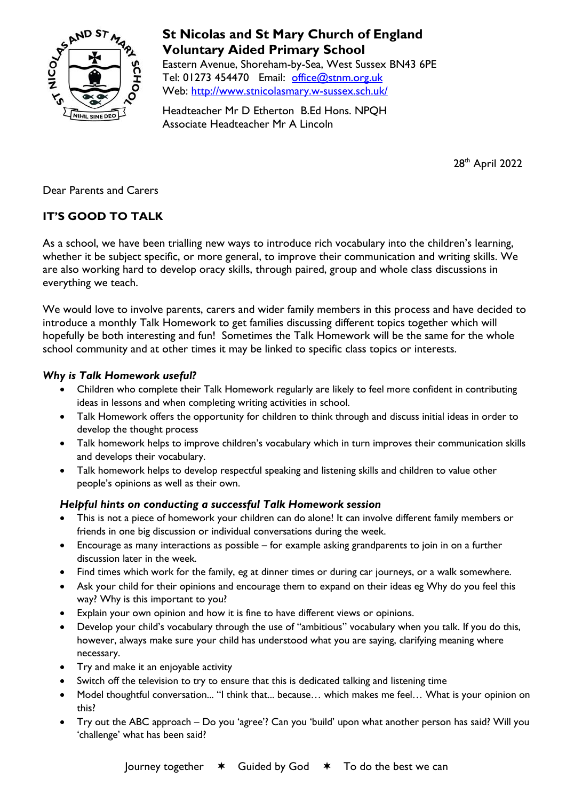

# **St Nicolas and St Mary Church of England Voluntary Aided Primary School**

Eastern Avenue, Shoreham-by-Sea, West Sussex BN43 6PE Tel: 01273 454470 Email: [office@stnm.org.uk](mailto:office@stnm.org.uk) Web:<http://www.stnicolasmary.w-sussex.sch.uk/>

Headteacher Mr D Etherton B.Ed Hons. NPQH Associate Headteacher Mr A Lincoln

28<sup>th</sup> April 2022

Dear Parents and Carers

## **IT'S GOOD TO TALK**

As a school, we have been trialling new ways to introduce rich vocabulary into the children's learning, whether it be subject specific, or more general, to improve their communication and writing skills. We are also working hard to develop oracy skills, through paired, group and whole class discussions in everything we teach.

We would love to involve parents, carers and wider family members in this process and have decided to introduce a monthly Talk Homework to get families discussing different topics together which will hopefully be both interesting and fun! Sometimes the Talk Homework will be the same for the whole school community and at other times it may be linked to specific class topics or interests.

## *Why is Talk Homework useful?*

- Children who complete their Talk Homework regularly are likely to feel more confident in contributing ideas in lessons and when completing writing activities in school.
- Talk Homework offers the opportunity for children to think through and discuss initial ideas in order to develop the thought process
- Talk homework helps to improve children's vocabulary which in turn improves their communication skills and develops their vocabulary.
- Talk homework helps to develop respectful speaking and listening skills and children to value other people's opinions as well as their own.

#### *Helpful hints on conducting a successful Talk Homework session*

- This is not a piece of homework your children can do alone! It can involve different family members or friends in one big discussion or individual conversations during the week.
- Encourage as many interactions as possible for example asking grandparents to join in on a further discussion later in the week.
- Find times which work for the family, eg at dinner times or during car journeys, or a walk somewhere.
- Ask your child for their opinions and encourage them to expand on their ideas eg Why do you feel this way? Why is this important to you?
- Explain your own opinion and how it is fine to have different views or opinions.
- Develop your child's vocabulary through the use of "ambitious" vocabulary when you talk. If you do this, however, always make sure your child has understood what you are saying, clarifying meaning where necessary.
- Try and make it an enjoyable activity
- Switch off the television to try to ensure that this is dedicated talking and listening time
- Model thoughtful conversation... "I think that... because... which makes me feel... What is your opinion on this?
- Try out the ABC approach Do you 'agree'? Can you 'build' upon what another person has said? Will you 'challenge' what has been said?